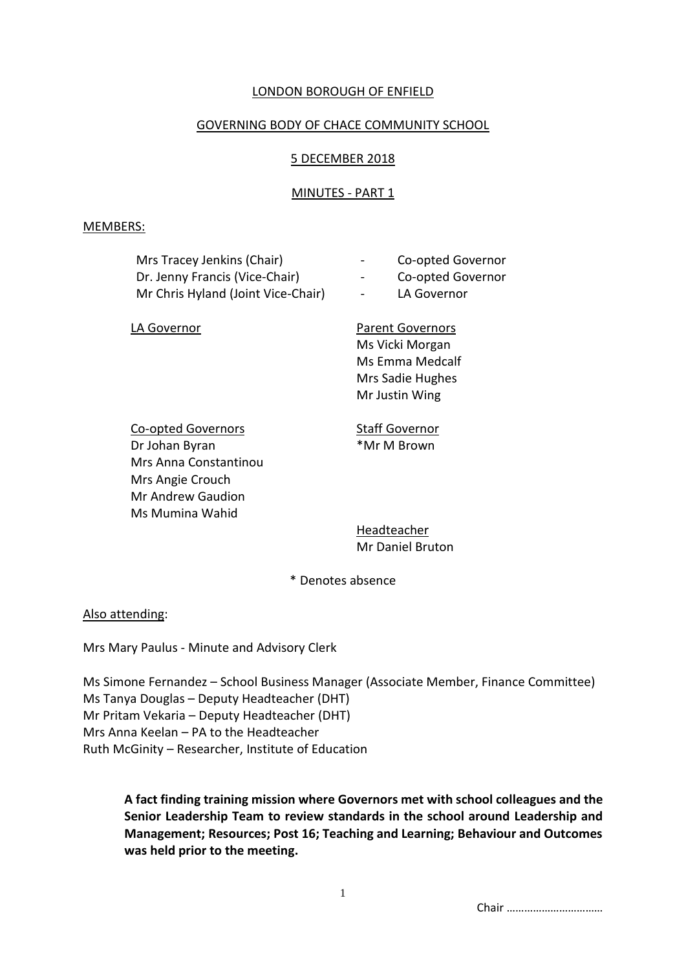# LONDON BOROUGH OF ENFIELD

# GOVERNING BODY OF CHACE COMMUNITY SCHOOL

# 5 DECEMBER 2018

# MINUTES - PART 1

#### MEMBERS:

| Mrs Tracey Jenkins (Chair)<br>Dr. Jenny Francis (Vice-Chair) | -      | Co-c |
|--------------------------------------------------------------|--------|------|
|                                                              | $\sim$ | Co-c |
| Mr Chris Hyland (Joint Vice-Chair)                           | $\sim$ | LA G |

opted Governor

- Dr. Jennie Governor
- iovernor

LA Governor **Parent Governors** Ms Vicki Morgan Ms Emma Medcalf Mrs Sadie Hughes Mr Justin Wing

Co-opted Governors **Staff Governor** Dr Johan Byran \*Mr M Brown Mrs Anna Constantinou Mrs Angie Crouch Mr Andrew Gaudion Ms Mumina Wahid

Headteacher Mr Daniel Bruton

\* Denotes absence

# Also attending:

Mrs Mary Paulus - Minute and Advisory Clerk

Ms Simone Fernandez – School Business Manager (Associate Member, Finance Committee) Ms Tanya Douglas – Deputy Headteacher (DHT) Mr Pritam Vekaria – Deputy Headteacher (DHT) Mrs Anna Keelan – PA to the Headteacher Ruth McGinity – Researcher, Institute of Education

**A fact finding training mission where Governors met with school colleagues and the Senior Leadership Team to review standards in the school around Leadership and Management; Resources; Post 16; Teaching and Learning; Behaviour and Outcomes was held prior to the meeting.**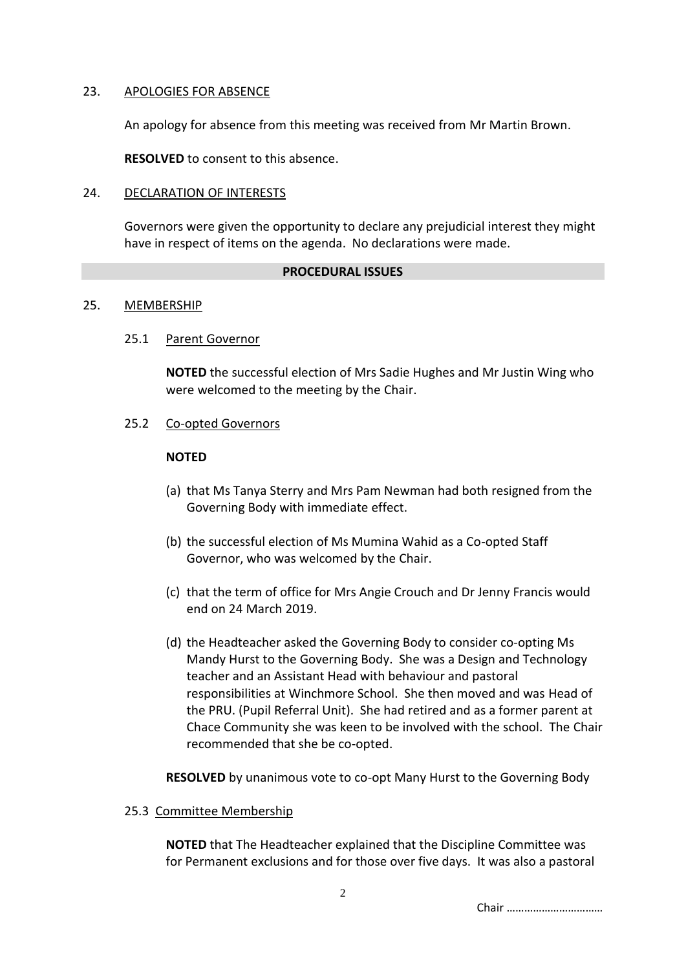# 23. APOLOGIES FOR ABSENCE

An apology for absence from this meeting was received from Mr Martin Brown.

**RESOLVED** to consent to this absence.

### 24. DECLARATION OF INTERESTS

Governors were given the opportunity to declare any prejudicial interest they might have in respect of items on the agenda. No declarations were made.

#### **PROCEDURAL ISSUES**

### 25. MEMBERSHIP

### 25.1 Parent Governor

**NOTED** the successful election of Mrs Sadie Hughes and Mr Justin Wing who were welcomed to the meeting by the Chair.

25.2 Co-opted Governors

#### **NOTED**

- (a) that Ms Tanya Sterry and Mrs Pam Newman had both resigned from the Governing Body with immediate effect.
- (b) the successful election of Ms Mumina Wahid as a Co-opted Staff Governor, who was welcomed by the Chair.
- (c) that the term of office for Mrs Angie Crouch and Dr Jenny Francis would end on 24 March 2019.
- (d) the Headteacher asked the Governing Body to consider co-opting Ms Mandy Hurst to the Governing Body. She was a Design and Technology teacher and an Assistant Head with behaviour and pastoral responsibilities at Winchmore School. She then moved and was Head of the PRU. (Pupil Referral Unit). She had retired and as a former parent at Chace Community she was keen to be involved with the school. The Chair recommended that she be co-opted.

**RESOLVED** by unanimous vote to co-opt Many Hurst to the Governing Body

25.3 Committee Membership

**NOTED** that The Headteacher explained that the Discipline Committee was for Permanent exclusions and for those over five days. It was also a pastoral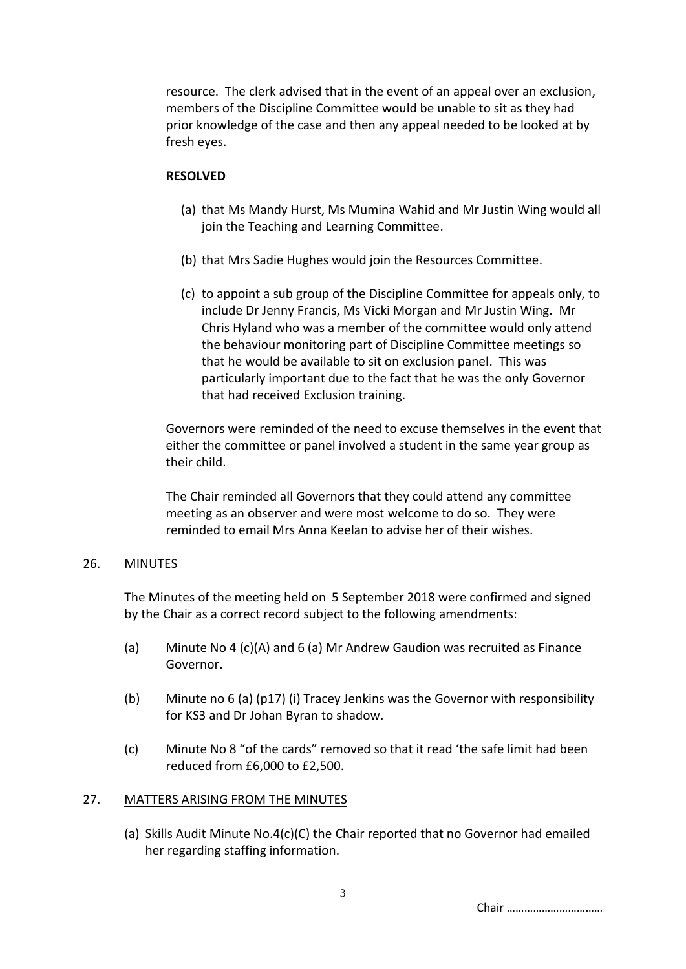resource. The clerk advised that in the event of an appeal over an exclusion, members of the Discipline Committee would be unable to sit as they had prior knowledge of the case and then any appeal needed to be looked at by fresh eyes.

### **RESOLVED**

- (a) that Ms Mandy Hurst, Ms Mumina Wahid and Mr Justin Wing would all join the Teaching and Learning Committee.
- (b) that Mrs Sadie Hughes would join the Resources Committee.
- (c) to appoint a sub group of the Discipline Committee for appeals only, to include Dr Jenny Francis, Ms Vicki Morgan and Mr Justin Wing. Mr Chris Hyland who was a member of the committee would only attend the behaviour monitoring part of Discipline Committee meetings so that he would be available to sit on exclusion panel. This was particularly important due to the fact that he was the only Governor that had received Exclusion training.

Governors were reminded of the need to excuse themselves in the event that either the committee or panel involved a student in the same year group as their child.

The Chair reminded all Governors that they could attend any committee meeting as an observer and were most welcome to do so. They were reminded to email Mrs Anna Keelan to advise her of their wishes.

# 26. MINUTES

The Minutes of the meeting held on 5 September 2018 were confirmed and signed by the Chair as a correct record subject to the following amendments:

- (a) Minute No 4 (c)(A) and 6 (a) Mr Andrew Gaudion was recruited as Finance Governor.
- (b) Minute no 6 (a) (p17) (i) Tracey Jenkins was the Governor with responsibility for KS3 and Dr Johan Byran to shadow.
- (c) Minute No 8 "of the cards" removed so that it read 'the safe limit had been reduced from £6,000 to £2,500.

# 27. MATTERS ARISING FROM THE MINUTES

(a) Skills Audit Minute No.4(c)(C) the Chair reported that no Governor had emailed her regarding staffing information.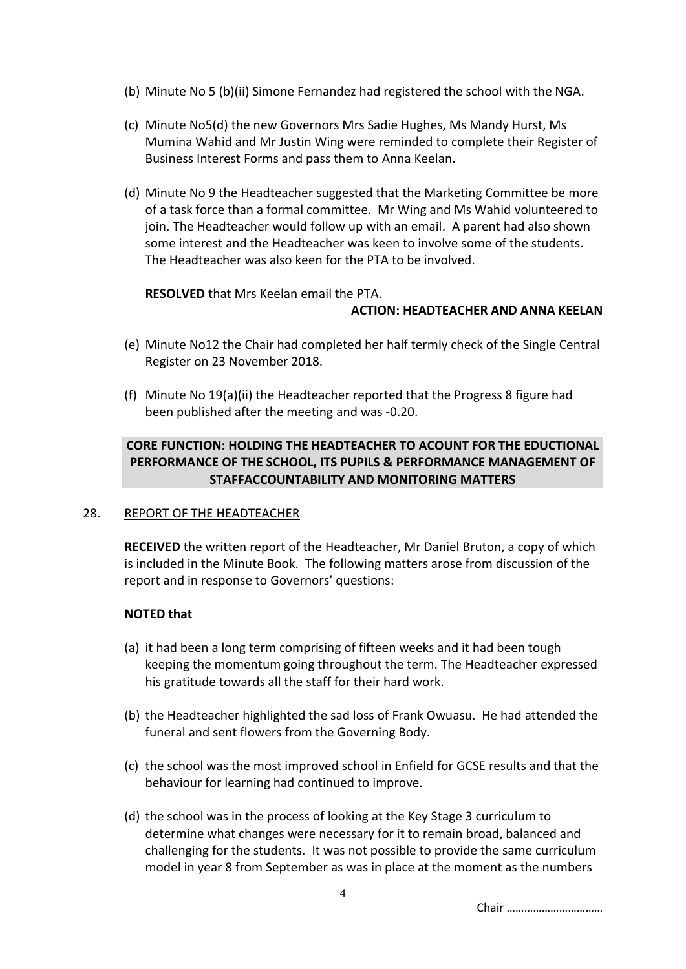- (b) Minute No 5 (b)(ii) Simone Fernandez had registered the school with the NGA.
- (c) Minute No5(d) the new Governors Mrs Sadie Hughes, Ms Mandy Hurst, Ms Mumina Wahid and Mr Justin Wing were reminded to complete their Register of Business Interest Forms and pass them to Anna Keelan.
- (d) Minute No 9 the Headteacher suggested that the Marketing Committee be more of a task force than a formal committee. Mr Wing and Ms Wahid volunteered to join. The Headteacher would follow up with an email. A parent had also shown some interest and the Headteacher was keen to involve some of the students. The Headteacher was also keen for the PTA to be involved.

**RESOLVED** that Mrs Keelan email the PTA.

# **ACTION: HEADTEACHER AND ANNA KEELAN**

- (e) Minute No12 the Chair had completed her half termly check of the Single Central Register on 23 November 2018.
- (f) Minute No 19(a)(ii) the Headteacher reported that the Progress 8 figure had been published after the meeting and was -0.20.

# **CORE FUNCTION: HOLDING THE HEADTEACHER TO ACOUNT FOR THE EDUCTIONAL PERFORMANCE OF THE SCHOOL, ITS PUPILS & PERFORMANCE MANAGEMENT OF STAFFACCOUNTABILITY AND MONITORING MATTERS**

# 28. REPORT OF THE HEADTEACHER

**RECEIVED** the written report of the Headteacher, Mr Daniel Bruton, a copy of which is included in the Minute Book. The following matters arose from discussion of the report and in response to Governors' questions:

# **NOTED that**

- (a) it had been a long term comprising of fifteen weeks and it had been tough keeping the momentum going throughout the term. The Headteacher expressed his gratitude towards all the staff for their hard work.
- (b) the Headteacher highlighted the sad loss of Frank Owuasu. He had attended the funeral and sent flowers from the Governing Body.
- (c) the school was the most improved school in Enfield for GCSE results and that the behaviour for learning had continued to improve.
- (d) the school was in the process of looking at the Key Stage 3 curriculum to determine what changes were necessary for it to remain broad, balanced and challenging for the students. It was not possible to provide the same curriculum model in year 8 from September as was in place at the moment as the numbers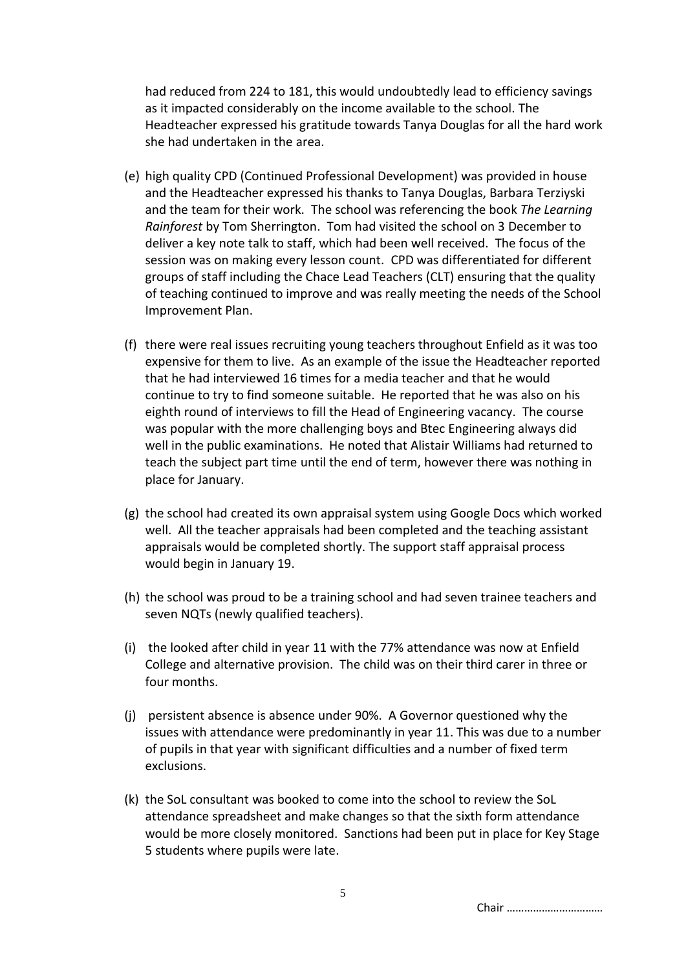had reduced from 224 to 181, this would undoubtedly lead to efficiency savings as it impacted considerably on the income available to the school. The Headteacher expressed his gratitude towards Tanya Douglas for all the hard work she had undertaken in the area.

- (e) high quality CPD (Continued Professional Development) was provided in house and the Headteacher expressed his thanks to Tanya Douglas, Barbara Terziyski and the team for their work. The school was referencing the book *The Learning Rainforest* by Tom Sherrington. Tom had visited the school on 3 December to deliver a key note talk to staff, which had been well received. The focus of the session was on making every lesson count. CPD was differentiated for different groups of staff including the Chace Lead Teachers (CLT) ensuring that the quality of teaching continued to improve and was really meeting the needs of the School Improvement Plan.
- (f) there were real issues recruiting young teachers throughout Enfield as it was too expensive for them to live. As an example of the issue the Headteacher reported that he had interviewed 16 times for a media teacher and that he would continue to try to find someone suitable. He reported that he was also on his eighth round of interviews to fill the Head of Engineering vacancy. The course was popular with the more challenging boys and Btec Engineering always did well in the public examinations. He noted that Alistair Williams had returned to teach the subject part time until the end of term, however there was nothing in place for January.
- (g) the school had created its own appraisal system using Google Docs which worked well. All the teacher appraisals had been completed and the teaching assistant appraisals would be completed shortly. The support staff appraisal process would begin in January 19.
- (h) the school was proud to be a training school and had seven trainee teachers and seven NQTs (newly qualified teachers).
- (i) the looked after child in year 11 with the 77% attendance was now at Enfield College and alternative provision. The child was on their third carer in three or four months.
- (j) persistent absence is absence under 90%. A Governor questioned why the issues with attendance were predominantly in year 11. This was due to a number of pupils in that year with significant difficulties and a number of fixed term exclusions.
- (k) the SoL consultant was booked to come into the school to review the SoL attendance spreadsheet and make changes so that the sixth form attendance would be more closely monitored. Sanctions had been put in place for Key Stage 5 students where pupils were late.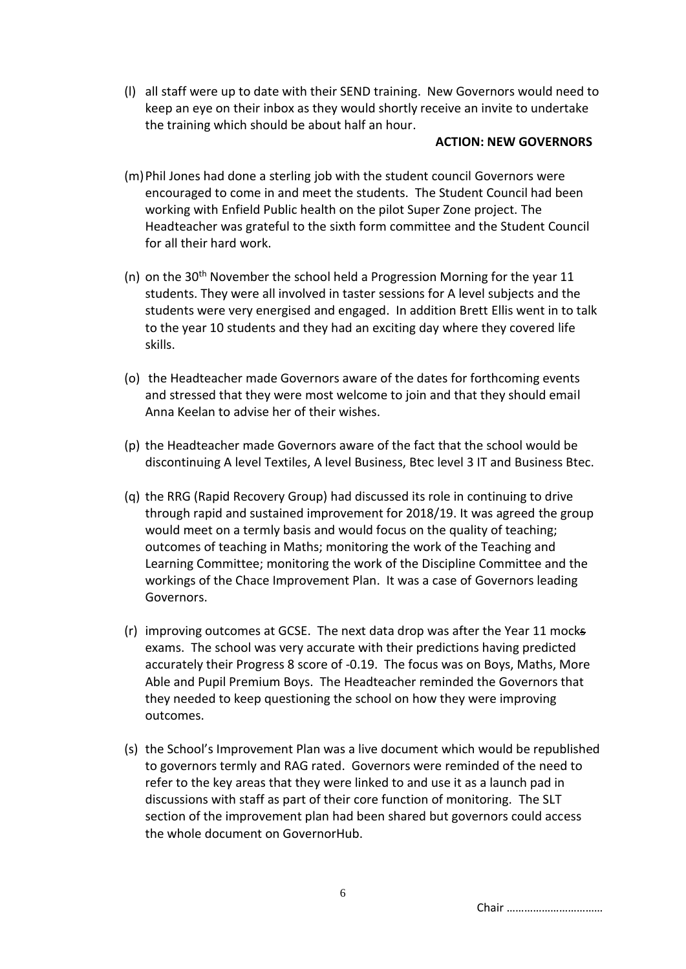(l) all staff were up to date with their SEND training. New Governors would need to keep an eye on their inbox as they would shortly receive an invite to undertake the training which should be about half an hour.

#### **ACTION: NEW GOVERNORS**

- (m)Phil Jones had done a sterling job with the student council Governors were encouraged to come in and meet the students. The Student Council had been working with Enfield Public health on the pilot Super Zone project. The Headteacher was grateful to the sixth form committee and the Student Council for all their hard work.
- (n) on the 30th November the school held a Progression Morning for the year 11 students. They were all involved in taster sessions for A level subjects and the students were very energised and engaged. In addition Brett Ellis went in to talk to the year 10 students and they had an exciting day where they covered life skills.
- (o) the Headteacher made Governors aware of the dates for forthcoming events and stressed that they were most welcome to join and that they should email Anna Keelan to advise her of their wishes.
- (p) the Headteacher made Governors aware of the fact that the school would be discontinuing A level Textiles, A level Business, Btec level 3 IT and Business Btec.
- (q) the RRG (Rapid Recovery Group) had discussed its role in continuing to drive through rapid and sustained improvement for 2018/19. It was agreed the group would meet on a termly basis and would focus on the quality of teaching; outcomes of teaching in Maths; monitoring the work of the Teaching and Learning Committee; monitoring the work of the Discipline Committee and the workings of the Chace Improvement Plan. It was a case of Governors leading Governors.
- (r) improving outcomes at GCSE. The next data drop was after the Year 11 mocks exams. The school was very accurate with their predictions having predicted accurately their Progress 8 score of -0.19. The focus was on Boys, Maths, More Able and Pupil Premium Boys. The Headteacher reminded the Governors that they needed to keep questioning the school on how they were improving outcomes.
- (s) the School's Improvement Plan was a live document which would be republished to governors termly and RAG rated. Governors were reminded of the need to refer to the key areas that they were linked to and use it as a launch pad in discussions with staff as part of their core function of monitoring. The SLT section of the improvement plan had been shared but governors could access the whole document on GovernorHub.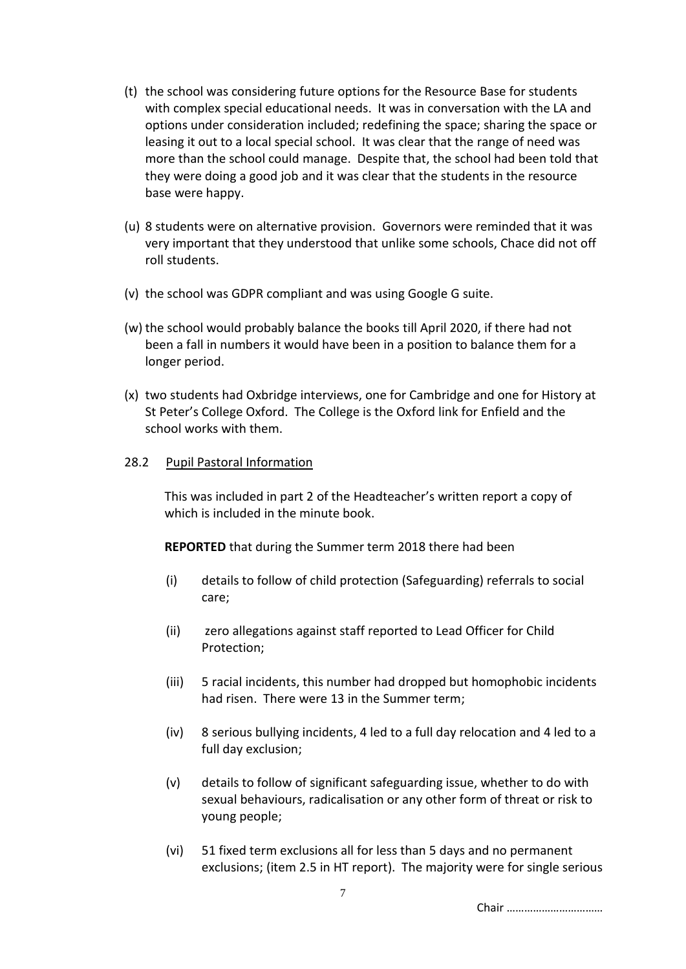- (t) the school was considering future options for the Resource Base for students with complex special educational needs. It was in conversation with the LA and options under consideration included; redefining the space; sharing the space or leasing it out to a local special school. It was clear that the range of need was more than the school could manage. Despite that, the school had been told that they were doing a good job and it was clear that the students in the resource base were happy.
- (u) 8 students were on alternative provision. Governors were reminded that it was very important that they understood that unlike some schools, Chace did not off roll students.
- (v) the school was GDPR compliant and was using Google G suite.
- (w) the school would probably balance the books till April 2020, if there had not been a fall in numbers it would have been in a position to balance them for a longer period.
- (x) two students had Oxbridge interviews, one for Cambridge and one for History at St Peter's College Oxford. The College is the Oxford link for Enfield and the school works with them.

### 28.2 Pupil Pastoral Information

This was included in part 2 of the Headteacher's written report a copy of which is included in the minute book.

**REPORTED** that during the Summer term 2018 there had been

- (i) details to follow of child protection (Safeguarding) referrals to social care;
- (ii) zero allegations against staff reported to Lead Officer for Child Protection;
- (iii) 5 racial incidents, this number had dropped but homophobic incidents had risen. There were 13 in the Summer term;
- (iv) 8 serious bullying incidents, 4 led to a full day relocation and 4 led to a full day exclusion;
- (v) details to follow of significant safeguarding issue, whether to do with sexual behaviours, radicalisation or any other form of threat or risk to young people;
- (vi) 51 fixed term exclusions all for less than 5 days and no permanent exclusions; (item 2.5 in HT report). The majority were for single serious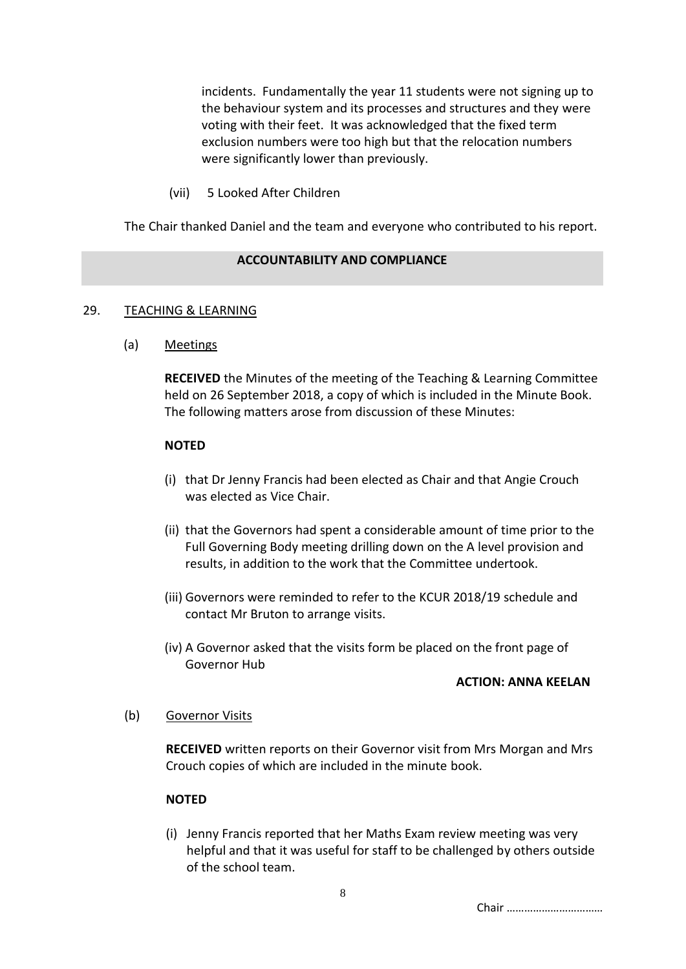incidents. Fundamentally the year 11 students were not signing up to the behaviour system and its processes and structures and they were voting with their feet. It was acknowledged that the fixed term exclusion numbers were too high but that the relocation numbers were significantly lower than previously.

(vii) 5 Looked After Children

The Chair thanked Daniel and the team and everyone who contributed to his report.

# **ACCOUNTABILITY AND COMPLIANCE**

### 29. TEACHING & LEARNING

(a) Meetings

**RECEIVED** the Minutes of the meeting of the Teaching & Learning Committee held on 26 September 2018, a copy of which is included in the Minute Book. The following matters arose from discussion of these Minutes:

#### **NOTED**

- (i) that Dr Jenny Francis had been elected as Chair and that Angie Crouch was elected as Vice Chair.
- (ii) that the Governors had spent a considerable amount of time prior to the Full Governing Body meeting drilling down on the A level provision and results, in addition to the work that the Committee undertook.
- (iii) Governors were reminded to refer to the KCUR 2018/19 schedule and contact Mr Bruton to arrange visits.
- (iv) A Governor asked that the visits form be placed on the front page of Governor Hub

#### **ACTION: ANNA KEELAN**

#### (b) Governor Visits

**RECEIVED** written reports on their Governor visit from Mrs Morgan and Mrs Crouch copies of which are included in the minute book.

# **NOTED**

(i) Jenny Francis reported that her Maths Exam review meeting was very helpful and that it was useful for staff to be challenged by others outside of the school team.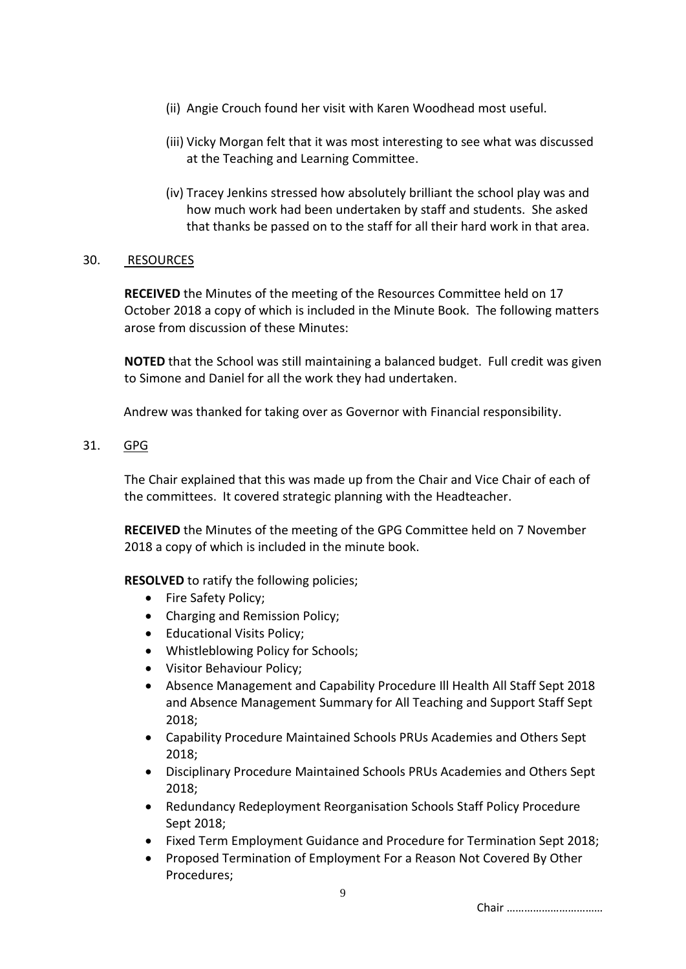- (ii) Angie Crouch found her visit with Karen Woodhead most useful.
- (iii) Vicky Morgan felt that it was most interesting to see what was discussed at the Teaching and Learning Committee.
- (iv) Tracey Jenkins stressed how absolutely brilliant the school play was and how much work had been undertaken by staff and students. She asked that thanks be passed on to the staff for all their hard work in that area.

# 30. RESOURCES

**RECEIVED** the Minutes of the meeting of the Resources Committee held on 17 October 2018 a copy of which is included in the Minute Book. The following matters arose from discussion of these Minutes:

**NOTED** that the School was still maintaining a balanced budget. Full credit was given to Simone and Daniel for all the work they had undertaken.

Andrew was thanked for taking over as Governor with Financial responsibility.

31. GPG

The Chair explained that this was made up from the Chair and Vice Chair of each of the committees. It covered strategic planning with the Headteacher.

**RECEIVED** the Minutes of the meeting of the GPG Committee held on 7 November 2018 a copy of which is included in the minute book.

**RESOLVED** to ratify the following policies;

- Fire Safety Policy;
- Charging and Remission Policy;
- Educational Visits Policy;
- Whistleblowing Policy for Schools;
- Visitor Behaviour Policy;
- Absence Management and Capability Procedure Ill Health All Staff Sept 2018 and Absence Management Summary for All Teaching and Support Staff Sept 2018;
- Capability Procedure Maintained Schools PRUs Academies and Others Sept 2018;
- Disciplinary Procedure Maintained Schools PRUs Academies and Others Sept 2018;
- Redundancy Redeployment Reorganisation Schools Staff Policy Procedure Sept 2018;
- Fixed Term Employment Guidance and Procedure for Termination Sept 2018;
- Proposed Termination of Employment For a Reason Not Covered By Other Procedures;

9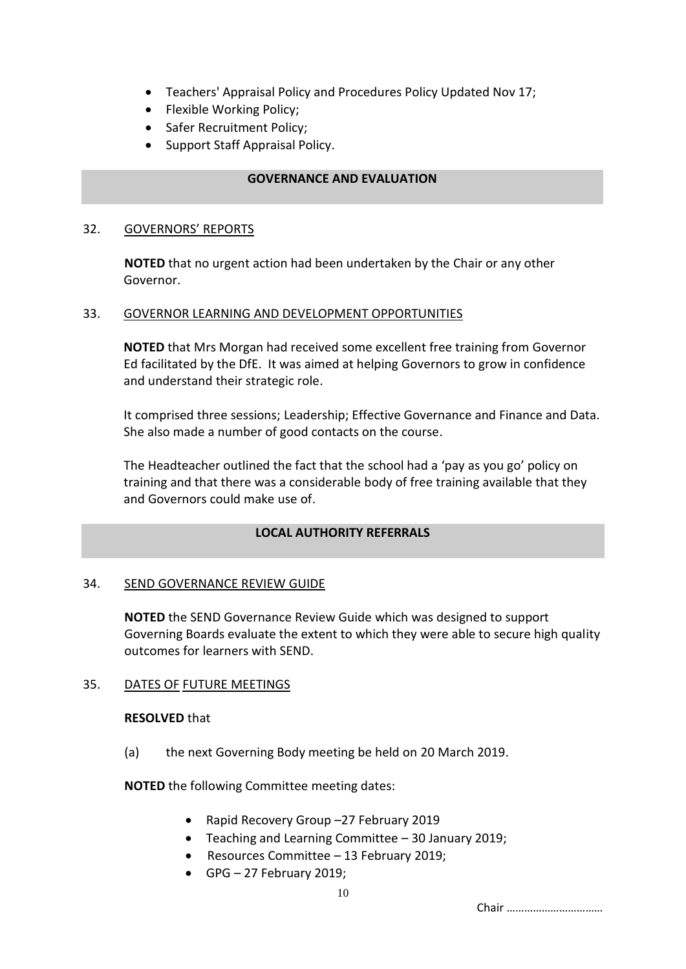- Teachers' Appraisal Policy and Procedures Policy Updated Nov 17;
- Flexible Working Policy;
- Safer Recruitment Policy;
- Support Staff Appraisal Policy.

### **GOVERNANCE AND EVALUATION**

#### 32. GOVERNORS' REPORTS

**NOTED** that no urgent action had been undertaken by the Chair or any other Governor.

### 33. GOVERNOR LEARNING AND DEVELOPMENT OPPORTUNITIES

**NOTED** that Mrs Morgan had received some excellent free training from Governor Ed facilitated by the DfE. It was aimed at helping Governors to grow in confidence and understand their strategic role.

It comprised three sessions; Leadership; Effective Governance and Finance and Data. She also made a number of good contacts on the course.

The Headteacher outlined the fact that the school had a 'pay as you go' policy on training and that there was a considerable body of free training available that they and Governors could make use of.

# **LOCAL AUTHORITY REFERRALS**

#### 34. SEND GOVERNANCE REVIEW GUIDE

**NOTED** the SEND Governance Review Guide which was designed to support Governing Boards evaluate the extent to which they were able to secure high quality outcomes for learners with SEND.

#### 35. DATES OF FUTURE MEETINGS

#### **RESOLVED** that

(a) the next Governing Body meeting be held on 20 March 2019.

**NOTED** the following Committee meeting dates:

- Rapid Recovery Group –27 February 2019
- Teaching and Learning Committee 30 January 2019;
- Resources Committee 13 February 2019;
- GPG 27 February 2019;